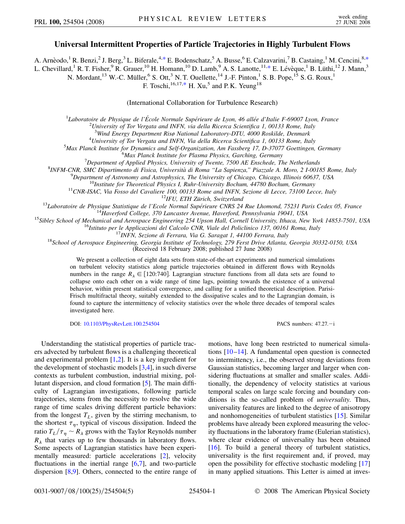## Universal Intermittent Properties of Particle Trajectories in Highly Turbulent Flows

A. Arnèodo, <sup>1</sup> R. Benzi, <sup>2</sup> J. Berg, <sup>3</sup> L. Biferale, <sup>4,\*</sup> E. Bodenschatz, <sup>5</sup> A. Busse, <sup>6</sup> E. Calzavarini, <sup>7</sup> B. Castaing, <sup>1</sup> M. Cencini, <sup>8,\*</sup> L. Chevillard, <sup>1</sup> R. T. Fisher, <sup>9</sup> R. Grauer, <sup>10</sup> H. Homann, <sup>10</sup> D. Lamb, <sup>9</sup> A. S. Lanotte, <sup>11,\*</sup> E. Lévèque, <sup>1</sup> B. Lüthi, <sup>12</sup> J. Mann, <sup>3</sup>

<span id="page-0-0"></span>N. Mordant,<sup>13</sup> W.-C. Müller, <sup>6</sup> S. Ott,<sup>3</sup> N. T. Ouellette, <sup>14</sup> J.-F. Pinton,<sup>1</sup> S. B. Pope,<sup>15</sup> S. G. Roux,<sup>1</sup><br>F. Toschi,<sup>16,17,\*</sup> H. Xu,<sup>5</sup> and P. K. Yeung<sup>18</sup>

(International Collaboration for Turbulence Research)

 ${}^{1}$ Laboratoire de Physique de l'École Normale Supérieure de Lyon, 46 allée d'Italie F-69007 Lyon, France

 $2$ University of Tor Vergata and INFN, via della Ricerca Scientifica 1, 00133 Rome, Italy

<sup>3</sup>Wind Energy Department Risø National Laboratory-DTU, 4000 Roskilde, Denmark

<sup>4</sup>University of Tor Vergata and INFN, Via della Ricerca Scientifica 1, 00133 Rome, Italy

 $5$ Max Planck Institute for Dynamics and Self-Organization, Am Fassberg 17, D-37077 Goettingen, Germany

<sup>6</sup>Max Planck Institute for Plasma Physics, Garching, Germany

 $^7$ Department of Applied Physics, University of Twente, 7500 AE Enschede, The Netherlands

8INFM-CNR, SMC Dipartimento di Fisica, Università di Roma "La Sapienza," Piazzale A. Moro, 2 I-00185 Rome, Italy

 $^{9}$ Department of Astronomy and Astrophysics, The University of Chicago, Chicago, Illinois 60637, USA

<sup>10</sup>Institute for Theoretical Physics I, Ruhr-University Bochum, 44780 Bochum, Germany

<sup>11</sup>CNR-ISAC, Via Fosso del Cavaliere 100, 00133 Rome and INFN, Sezione di Lecce, 73100 Lecce, Italy

 $12$ IFU, ETH Zürich, Switzerland

<sup>13</sup>Laboratoire de Physique Statistique de l'Ecole Normal Supérieure CNRS 24 Rue Lhomond, 75231 Paris Cedex 05, France

<sup>14</sup>Haverford College, 370 Lancaster Avenue, Haverford, Pennsylvania 19041, USA

<sup>15</sup>Sibley School of Mechanical and Aerospace Engineering 254 Upson Hall, Cornell University, Ithaca, New York 14853-7501, USA

<sup>16</sup>Istituto per le Applicazioni del Calcolo CNR, Viale del Policlinico 137, 00161 Roma, Italy

<sup>17</sup>INFN, Sezione di Ferrara, Via G. Saragat 1, 44100 Ferrara, Italy

<sup>18</sup>School of Aerospace Engineering, Georgia Institute of Technology, 279 Ferst Drive Atlanta, Georgia 30332-0150, USA

(Received 18 February 2008; published 27 June 2008)

We present a collection of eight data sets from state-of-the-art experiments and numerical simulations on turbulent velocity statistics along particle trajectories obtained in different flows with Reynolds numbers in the range  $R_{\lambda} \in [120:740]$ . Lagrangian structure functions from all data sets are found to collapse onto each other on a wide range of time lags, pointing towards the existence of a universal behavior, within present statistical convergence, and calling for a unified theoretical description. Parisi-Frisch multifractal theory, suitably extended to the dissipative scales and to the Lagrangian domain, is found to capture the intermittency of velocity statistics over the whole three decades of temporal scales investigated here.

DOI: 10.1103/PhysRevLett.100.254504

PACS numbers:  $47.27 - i$ 

Understanding the statistical properties of particle tracers advected by turbulent flows is a challenging theoretical and experimental problem  $[1,2]$ . It is a key ingredient for the development of stochastic models  $[3,4]$ , in such diverse contexts as turbulent combustion, industrial mixing, pollutant dispersion, and cloud formation [5]. The main difficulty of Lagrangian investigations, following particle trajectories, stems from the necessity to resolve the wide range of time scales driving different particle behaviors: from the longest  $T_L$ , given by the stirring mechanism, to the shortest  $\tau_n$ , typical of viscous dissipation. Indeed the ratio  $T_L/\tau_\eta \sim R_\lambda$  grows with the Taylor Reynolds number  $R_{\lambda}$  that varies up to few thousands in laboratory flows. Some aspects of Lagrangian statistics have been experimentally measured: particle accelerations [2], velocity fluctuations in the inertial range  $[6,7]$ , and two-particle dispersion  $[8,9]$ . Others, connected to the entire range of motions, have long been restricted to numerical simulations  $[10-14]$ . A fundamental open question is connected to intermittency, i.e., the observed strong deviations from Gaussian statistics, becoming larger and larger when considering fluctuations at smaller and smaller scales. Additionally, the dependency of velocity statistics at various temporal scales on large scale forcing and boundary conditions is the so-called problem of *universality*. Thus, universality features are linked to the degree of anisotropy and nonhomogeneities of turbulent statistics [15]. Similar problems have already been explored measuring the velocity fluctuations in the laboratory frame (Eulerian statistics), where clear evidence of universality has been obtained [16]. To build a general theory of turbulent statistics, universality is the first requirement and, if proved, may open the possibility for effective stochastic modeling [17] in many applied situations. This Letter is aimed at inves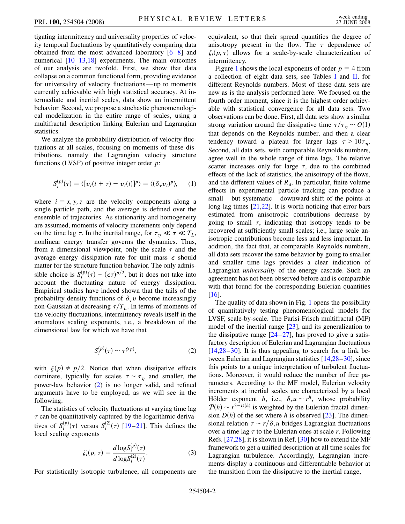tigating intermittency and universality properties of velocity temporal fluctuations by quantitatively comparing data obtained from the most advanced laboratory [\[6](#page-3-6)–[8\]](#page-3-8) and numerical  $[10-13,18]$  $[10-13,18]$  $[10-13,18]$  experiments. The main outcomes of our analysis are twofold. First, we show that data collapse on a common functional form, providing evidence for universality of velocity fluctuations—up to moments currently achievable with high statistical accuracy. At intermediate and inertial scales, data show an intermittent behavior. Second, we propose a stochastic phenomenological modelization in the entire range of scales, using a multifractal description linking Eulerian and Lagrangian statistics.

We analyze the probability distribution of velocity fluctuations at all scales, focusing on moments of these distributions, namely the Lagrangian velocity structure functions (LVSF) of positive integer order *p*:

$$
S_i^{(p)}(\tau) = \langle [v_i(t+\tau) - v_i(t)]^p \rangle = \langle (\delta_\tau v_i)^p \rangle, \qquad (1)
$$

where  $i = x, y, z$  are the velocity components along a single particle path, and the average is defined over the ensemble of trajectories. As stationarity and homogeneity are assumed, moments of velocity increments only depend on the time lag  $\tau$ . In the inertial range, for  $\tau_{\eta} \ll \tau \ll T_L$ , nonlinear energy transfer governs the dynamics. Thus, from a dimensional viewpoint, only the scale  $\tau$  and the average energy dissipation rate for unit mass  $\epsilon$  should matter for the structure function behavior. The only admissible choice is  $S_i^{(p)}(\tau) \sim (\epsilon \tau)^{p/2}$ , but it does not take into account the fluctuating nature of energy dissipation. Empirical studies have indeed shown that the tails of the probability density functions of  $\delta_{\tau}v$  become increasingly non-Gaussian at decreasing  $\tau/T_L$ . In terms of moments of the velocity fluctuations, intermittency reveals itself in the anomalous scaling exponents, i.e., a breakdown of the dimensional law for which we have that

$$
S_i^{(p)}(\tau) \sim \tau^{\xi(p)},\tag{2}
$$

<span id="page-1-0"></span>with  $\xi(p) \neq p/2$ . Notice that when dissipative effects dominate, typically for scales  $\tau \sim \tau_{\eta}$  and smaller, the power-law behavior [\(2\)](#page-1-0) is no longer valid, and refined arguments have to be employed, as we will see in the following.

The statistics of velocity fluctuations at varying time lag *-* can be quantitatively captured by the logarithmic derivatives of  $S_i^{(p)}(\tau)$  versus  $S_i^{(2)}(\tau)$  [\[19](#page-3-17)–[21](#page-3-18)]. This defines the local scaling exponents

$$
\zeta_i(p,\tau) = \frac{d \log S_i^{(p)}(\tau)}{d \log S_i^{(2)}(\tau)}.
$$
\n(3)

For statistically isotropic turbulence, all components are

equivalent, so that their spread quantifies the degree of anisotropy present in the flow. The  $\tau$  dependence of  $\zeta_i(p, \tau)$  allows for a scale-by-scale characterization of intermittency.

Figure [1](#page-2-0) shows the local exponents of order  $p = 4$  from a collection of eight data sets, see Tables [I](#page-2-1) and [II](#page-2-2), for different Reynolds numbers. Most of these data sets are new as is the analysis performed here. We focused on the fourth order moment, since it is the highest order achievable with statistical convergence for all data sets. Two observations can be done. First, all data sets show a similar strong variation around the dissipative time  $\tau/\tau_{\eta} \sim O(1)$ that depends on the Reynolds number, and then a clear tendency toward a plateau for larger lags  $\tau > 10\tau_{\eta}$ . Second, all data sets, with comparable Reynolds numbers, agree well in the whole range of time lags. The relative scatter increases only for large  $\tau$ , due to the combined effects of the lack of statistics, the anisotropy of the flows, and the different values of  $R_{\lambda}$ . In particular, finite volume effects in experimental particle tracking can produce a small—but systematic—downward shift of the points at long-lag times [[21,](#page-3-18)[22\]](#page-3-19). It is worth noticing that error bars estimated from anisotropic contributions decrease by going to small  $\tau$ , indicating that isotropy tends to be recovered at sufficiently small scales; i.e., large scale anisotropic contributions become less and less important. In addition, the fact that, at comparable Reynolds numbers, all data sets recover the same behavior by going to smaller and smaller time lags provides a clear indication of Lagrangian *universality* of the energy cascade. Such an agreement has not been observed before and is comparable with that found for the corresponding Eulerian quantities [\[16\]](#page-3-13).

The quality of data shown in Fig. [1](#page-2-0) opens the possibility of quantitatively testing phenomenological models for LVSF, scale-by-scale. The Parisi-Frisch multifractal (MF) model of the inertial range [[23](#page-3-20)], and its generalization to the dissipative range  $[24–27]$  $[24–27]$ , has proved to give a satisfactory description of Eulerian and Lagrangian fluctuations  $[14,28-30]$  $[14,28-30]$  $[14,28-30]$  $[14,28-30]$  $[14,28-30]$ . It is thus appealing to search for a link between Eulerian and Lagrangian statistics [\[14,](#page-3-11)[28](#page-4-1)–[30](#page-4-2)], since this points to a unique interpretation of turbulent fluctuations. Moreover, it would reduce the number of free parameters. According to the MF model, Eulerian velocity increments at inertial scales are characterized by a local Hölder exponent *h*, i.e.,  $\delta_r u \sim r^h$ , whose probability  $P(h) \sim r^{3-D(h)}$  is weighted by the Eulerian fractal dimension  $D(h)$  of the set where *h* is observed [[23](#page-3-20)]. The dimensional relation  $\tau \sim r/\delta_r u$  bridges Lagrangian fluctuations over a time lag  $\tau$  to the Eulerian ones at scale  $r$ . Following Refs. [\[27](#page-4-0)[,28\]](#page-4-1), it is shown in Ref. [[30](#page-4-2)] how to extend the MF framework to get a unified description at all time scales for Lagrangian turbulence. Accordingly, Lagrangian increments display a continuous and differentiable behavior at the transition from the dissipative to the inertial range,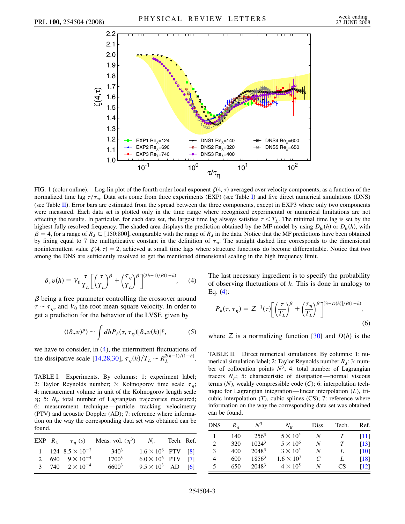<span id="page-2-0"></span>

FIG. 1 (color online). Log-lin plot of the fourth order local exponent  $\zeta(4, \tau)$  averaged over velocity components, as a function of the normalized time lag  $\tau/\tau_{\eta}$ . Data sets come from three experiments (EXP) (see Table [I](#page-2-1)) and five direct numerical simulations (DNS) (see Table [II](#page-2-2)). Error bars are estimated from the spread between the three components, except in EXP3 where only two components were measured. Each data set is plotted only in the time range where recognized experimental or numerical limitations are not affecting the results. In particular, for each data set, the largest time lag always satisfies  $\tau < T_L$ . The minimal time lag is set by the highest fully resolved frequency. The shaded area displays the prediction obtained by the MF model by using  $D_{\text{lo}}(h)$  or  $D_{\text{tr}}(h)$ , with  $\beta = 4$ , for a range of  $R_\lambda \in [150:800]$ , comparable with the range of  $R_\lambda$  in the data. Notice that the MF predictions have been obtained by fixing equal to 7 the multiplicative constant in the definition of  $\tau_{\eta}$ . The straight dashed line corresponds to the dimensional nonintermittent value  $\zeta(4, \tau) = 2$ , achieved at small time lags where structure functions do become differentiable. Notice that two among the DNS are sufficiently resolved to get the mentioned dimensional scaling in the high frequency limit.

<span id="page-2-3"></span>
$$
\delta_{\tau} \nu(h) = V_0 \frac{\tau}{T_L} \bigg[ \bigg( \frac{\tau}{T_L} \bigg)^{\beta} + \bigg( \frac{\tau_{\eta}}{T_L} \bigg)^{\beta} \bigg]^{(2h-1)/\beta(1-h)}, \quad (4)
$$

<span id="page-2-4"></span> $\beta$  being a free parameter controlling the crossover around  $\tau \sim \tau_{\eta}$ , and  $V_0$  the root mean square velocity. In order to get a prediction for the behavior of the LVSF, given by

$$
\langle (\delta_\tau v)^p \rangle \sim \int dh P_h(\tau, \tau_\eta) [\delta_\tau v(h)]^p, \tag{5}
$$

we have to consider, in [\(4](#page-2-3)), the intermittent fluctuations of the dissipative scale [\[14,](#page-3-11)[28,](#page-4-1)[30\]](#page-4-2),  $\tau_{\eta}(h)/T_{L} \sim R_{\lambda}^{2(h-1)/(1+h)}$ .

<span id="page-2-1"></span>TABLE I. Experiments. By columns: 1: experiment label; 2: Taylor Reynolds number; 3: Kolmogorov time scale  $\tau_{\eta}$ ; 4: measurement volume in unit of the Kolmogorov length scale  $\eta$ ; 5:  $N_{tr}$  total number of Lagrangian trajectories measured; 6: measurement technique—particle tracking velocimetry (PTV) and acoustic Doppler (AD); 7: reference where information on the way the corresponding data set was obtained can be found.

| EXP $R_{\lambda}$ |                            | $\tau_n$ (s) Meas. vol. $(\eta^3)$ N <sub>tr</sub> |                           | Tech. Ref. |  |
|-------------------|----------------------------|----------------------------------------------------|---------------------------|------------|--|
|                   | 1 124 $8.5 \times 10^{-2}$ | $340^3$                                            | $1.6 \times 10^6$ PTV [8] |            |  |
|                   | 2 690 $9 \times 10^{-4}$   | $1700^3$                                           | $6.0 \times 10^6$ PTV [7] |            |  |
|                   | 3 740 $2 \times 10^{-4}$   | $6600^3$                                           | $9.5 \times 10^3$ AD [6]  |            |  |

The last necessary ingredient is to specify the probability of observing fluctuations of *h*. This is done in analogy to Eq. ([4\)](#page-2-3):

$$
P_h(\tau, \tau_\eta) = Z^{-1}(\tau) \bigg[ \left( \frac{\tau}{T_L} \right)^{\beta} + \left( \frac{\tau_\eta}{T_L} \right)^{\beta} \bigg]^{[3-D(h)]/\beta(1-h)}, \tag{6}
$$

where  $Z$  is a normalizing function [[30](#page-4-2)] and  $D(h)$  is the

<span id="page-2-2"></span>TABLE II. Direct numerical simulations. By columns: 1: numerical simulation label; 2: Taylor Reynolds number  $R_{\lambda}$ ; 3: number of collocation points  $N^3$ ; 4: total number of Lagrangian tracers  $N_p$ ; 5: characteristic of dissipation—normal viscous terms (*N*), weakly compressible code (*C*); 6: interpolation technique for Lagrangian integration—linear interpolation (*L*), tricubic interpolation  $(T)$ , cubic splines  $(CS)$ ; 7: reference where information on the way the corresponding data set was obtained can be found.

| <b>DNS</b> | $R_{\lambda}$ | $N^3$             | $N_{\rm tr}$        | Diss.                       | Tech. | Ref.               |
|------------|---------------|-------------------|---------------------|-----------------------------|-------|--------------------|
|            | 140           | $256^3$           | $5 \times 10^5$     | N                           |       | $[11]$             |
| 2          | 320           | $1024^3$          | $5 \times 10^6$     | N                           | T     | $[13]$             |
| 3          | 400           | 2048 <sup>3</sup> | $3 \times 10^5$     | N                           |       | [10]               |
| 4          | 600           | $1856^3$          | $1.6 \times 10^{7}$ | $\mathcal{C}_{\mathcal{C}}$ |       | [18]               |
| 5          | 650           | 2048 <sup>3</sup> | $4 \times 10^5$     | N                           | CS    | $\lceil 12 \rceil$ |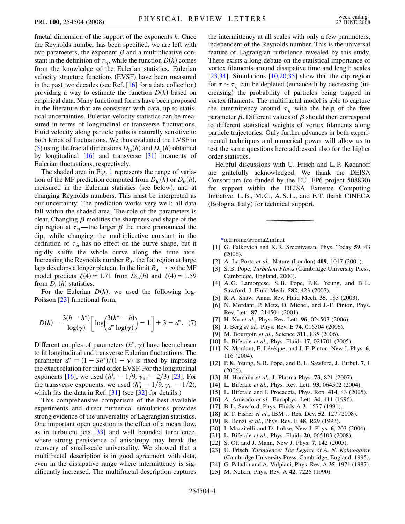fractal dimension of the support of the exponents *h*. Once the Reynolds number has been specified, we are left with two parameters, the exponent  $\beta$  and a multiplicative constant in the definition of  $\tau_{\eta}$ , while the function  $D(h)$  comes from the knowledge of the Eulerian statistics. Eulerian velocity structure functions (EVSF) have been measured in the past two decades (see Ref. [[16](#page-3-13)] for a data collection) providing a way to estimate the function  $D(h)$  based on empirical data. Many functional forms have been proposed in the literature that are consistent with data, up to statistical uncertainties. Eulerian velocity statistics can be measured in terms of longitudinal or transverse fluctuations. Fluid velocity along particle paths is naturally sensitive to both kinds of fluctuations. We thus evaluated the LVSF in [\(5\)](#page-2-4) using the fractal dimensions  $D_{\text{lo}}(h)$  and  $D_{\text{tr}}(h)$  obtained by longitudinal [\[16\]](#page-3-13) and transverse [\[31\]](#page-4-3) moments of Eulerian fluctuations, respectively.

The shaded area in Fig. [1](#page-2-0) represents the range of variation of the MF prediction computed from  $D_{\text{lo}}(h)$  or  $D_{\text{tr}}(h)$ , measured in the Eulerian statistics (see below), and at changing Reynolds numbers. This must be interpreted as our uncertainty. The prediction works very well: all data fall within the shaded area. The role of the parameters is clear. Changing  $\beta$  modifies the sharpness and shape of the dip region at  $\tau_{\eta}$ —the larger  $\beta$  the more pronounced the dip; while changing the multiplicative constant in the definition of  $\tau_{\eta}$  has no effect on the curve shape, but it rigidly shifts the whole curve along the time axis. Increasing the Reynolds number  $R_{\lambda}$ , the flat region at large lags develops a longer plateau. In the limit  $R_{\lambda} \rightarrow \infty$  the MF model predicts  $\zeta(4) \approx 1.71$  from  $D_{10}(h)$  and  $\zeta(4) \approx 1.59$ from  $D_{tr}(h)$  statistics.

For the Eulerian  $D(h)$ , we used the following log-Poisson [[23](#page-3-20)] functional form,

$$
D(h) = \frac{3(h - h^{*})}{\log(\gamma)} \bigg[ \log \bigg( \frac{3(h^{*} - h)}{d^{*} \log(\gamma)} \bigg) - 1 \bigg] + 3 - d^{*}.
$$
 (7)

Different couples of parameters  $(h^*, \gamma)$  have been chosen to fit longitudinal and transverse Eulerian fluctuations. The parameter  $d^* = (1 - 3h^*)/(1 - \gamma)$  is fixed by imposing the exact relation for third order EVSF. For the longitudinal exponents [\[16\]](#page-3-13), we used  $(h_{\text{lo}}^* = 1/9, \gamma_{\text{lo}} = 2/3)$  [[23](#page-3-20)]. For the transverse exponents, we used  $(h_{tr}^* = 1/9, \gamma_{tr} = 1/2)$ , which fits the data in Ref. [\[31\]](#page-4-3) (see [[32](#page-4-4)] for details.)

This comprehensive comparison of the best available experiments and direct numerical simulations provides strong evidence of the universality of Lagrangian statistics. One important open question is the effect of a mean flow, as in turbulent jets [[33](#page-4-5)] and wall bounded turbulence, where strong persistence of anisotropy may break the recovery of small-scale universality. We showed that a multifractal description is in good agreement with data, even in the dissipative range where intermittency is significantly increased. The multifractal description captures the intermittency at all scales with only a few parameters, independent of the Reynolds number. This is the universal feature of Lagrangian turbulence revealed by this study. There exists a long debate on the statistical importance of vortex filaments around dissipative time and length scales [\[23](#page-3-20)[,34\]](#page-4-6). Simulations  $[10,20,35]$  $[10,20,35]$  $[10,20,35]$  $[10,20,35]$  $[10,20,35]$  $[10,20,35]$  $[10,20,35]$  show that the dip region for  $\tau \sim \tau_{\eta}$  can be depleted (enhanced) by decreasing (increasing) the probability of particles being trapped in vortex filaments. The multifractal model is able to capture the intermittency around  $\tau_{\eta}$  with the help of the free parameter  $\beta$ . Different values of  $\beta$  should then correspond to different statistical weights of vortex filaments along particle trajectories. Only further advances in both experimental techniques and numerical power will allow us to test the same questions here addressed also for the higher order statistics.

Helpful discussions with U. Frisch and L. P. Kadanoff are gratefully acknowledged. We thank the DEISA Consortium (co-funded by the EU, FP6 project 508830) for support within the DEISA Extreme Computing Initiative. L. B., M. C., A. S. L., and F. T. thank CINECA (Bologna, Italy) for technical support.

<span id="page-3-0"></span>[\\*i](#page-0-0)ctr.rome@roma2.infn.it

- <span id="page-3-2"></span><span id="page-3-1"></span>[1] G. Falkovich and K. R. Sreenivasan, Phys. Today **59**, 43 (2006).
- <span id="page-3-3"></span>[2] A. La Porta *et al.*, Nature (London) **409**, 1017 (2001).
- <span id="page-3-4"></span>[3] S. B. Pope, *Turbulent Flows* (Cambridge University Press, Cambridge, England, 2000).
- <span id="page-3-5"></span>[4] A. G. Lamorgese, S. B. Pope, P. K. Yeung, and B. L. Sawford, J. Fluid Mech. **582**, 423 (2007).
- <span id="page-3-6"></span>[5] R. A. Shaw, Annu. Rev. Fluid Mech. **35**, 183 (2003).
- <span id="page-3-7"></span>[6] N. Mordant, P. Metz, O. Michel, and J.-F. Pinton, Phys. Rev. Lett. **87**, 214501 (2001).
- <span id="page-3-8"></span>[7] H. Xu *et al.*, Phys. Rev. Lett. **96**, 024503 (2006).
- <span id="page-3-9"></span>[8] J. Berg *et al.*, Phys. Rev. E **74**, 016304 (2006).
- <span id="page-3-10"></span>[9] M. Bourgoin *et al.*, Science **311**, 835 (2006).
- <span id="page-3-22"></span>[10] L. Biferale *et al.*, Phys. Fluids **17**, 021701 (2005).
- <span id="page-3-23"></span>[11] N. Mordant, E. Lévèque, and J.-F. Pinton, New J. Phys. **6**, 116 (2004).
- <span id="page-3-15"></span>[12] P. K. Yeung, S. B. Pope, and B. L. Sawford, J. Turbul. **7**, 1 (2006).
- <span id="page-3-11"></span>[13] H. Homann *et al.*, J. Plasma Phys. **73**, 821 (2007).
- <span id="page-3-12"></span>[14] L. Biferale *et al.*, Phys. Rev. Lett. **93**, 064502 (2004).
- <span id="page-3-13"></span>[15] L. Biferale and I. Procaccia, Phys. Rep. **414**, 43 (2005).
- <span id="page-3-14"></span>[16] A. Arne`odo *et al.*, Europhys. Lett. **34**, 411 (1996).
- <span id="page-3-16"></span>[17] B. L. Sawford, Phys. Fluids A **3**, 1577 (1991).
- <span id="page-3-17"></span>[18] R. T. Fisher *et al.*, IBM J. Res. Dev. **52**, 127 (2008).
- <span id="page-3-24"></span>[19] R. Benzi *et al.*, Phys. Rev. E **48**, R29 (1993).
- <span id="page-3-18"></span>[20] I. Mazzitelli and D. Lohse, New J. Phys. **6**, 203 (2004).
- <span id="page-3-19"></span>[21] L. Biferale *et al.*, Phys. Fluids **20**, 065103 (2008).
- <span id="page-3-20"></span>[22] S. Ott and J. Mann, New J. Phys. **7**, 142 (2005).
- <span id="page-3-21"></span>[23] U. Frisch, *Turbulence: The Legacy of A. N. Kolmogorov* (Cambridge University Press, Cambridge, England, 1995).
- [24] G. Paladin and A. Vulpiani, Phys. Rev. A **35**, 1971 (1987).
- [25] M. Nelkin, Phys. Rev. A **42**, 7226 (1990).